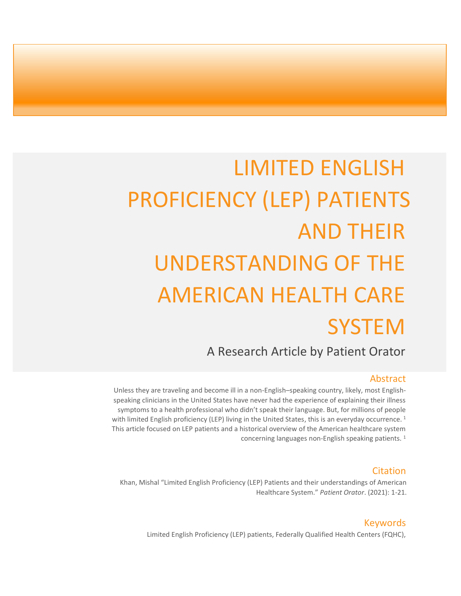# LIMITED ENGLISH PROFICIENCY (LEP) PATIENTS AND THEIR UNDERSTANDING OF THE AMERICAN HEALTH CARE **SYSTEM**

A Research Article by Patient Orator

### Abstract

Unless they are traveling and become ill in a non-English–speaking country, likely, most Englishspeaking clinicians in the United States have never had the experience of explaining their illness symptoms to a health professional who didn't speak their language. But, for millions of people with limited English proficiency (LEP) living in the United States, this is an everyday occurrence.<sup>1</sup> This article focused on LEP patients and a historical overview of the American healthcare system concerning languages non-English speaking patients. <sup>1</sup>

#### Citation

Khan, Mishal "Limited English Proficiency (LEP) Patients and their understandings of American Healthcare System." *Patient Orator*. (2021): 1-21.

#### Keywords

Limited English Proficiency (LEP) patients, Federally Qualified Health Centers (FQHC),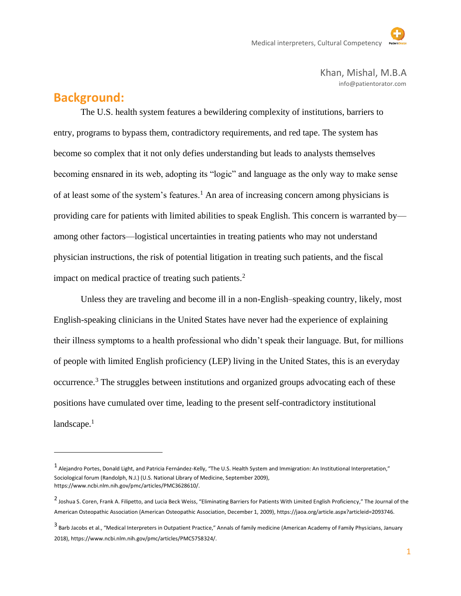Khan, Mishal, M.B.A info@patientorator.com

### **Background:**

The U.S. health system features a bewildering complexity of institutions, barriers to entry, programs to bypass them, contradictory requirements, and red tape. The system has become so complex that it not only defies understanding but leads to analysts themselves becoming ensnared in its web, adopting its "logic" and language as the only way to make sense of at least some of the system's features.<sup>1</sup> An area of increasing concern among physicians is providing care for patients with limited abilities to speak English. This concern is warranted by among other factors—logistical uncertainties in treating patients who may not understand physician instructions, the risk of potential litigation in treating such patients, and the fiscal impact on medical practice of treating such patients.<sup>2</sup>

Unless they are traveling and become ill in a non-English–speaking country, likely, most English-speaking clinicians in the United States have never had the experience of explaining their illness symptoms to a health professional who didn't speak their language. But, for millions of people with limited English proficiency (LEP) living in the United States, this is an everyday occurrence.<sup>3</sup> The struggles between institutions and organized groups advocating each of these positions have cumulated over time, leading to the present self-contradictory institutional landscape.<sup>1</sup>

<sup>&</sup>lt;sup>1</sup> Alejandro Portes, Donald Light, and Patricia Fernández-Kelly, "The U.S. Health System and Immigration: An Institutional Interpretation," Sociological forum (Randolph, N.J.) (U.S. National Library of Medicine, September 2009), https://www.ncbi.nlm.nih.gov/pmc/articles/PMC3628610/.

<sup>&</sup>lt;sup>2</sup> Joshua S. Coren, Frank A. Filipetto, and Lucia Beck Weiss, "Eliminating Barriers for Patients With Limited English Proficiency," The Journal of the American Osteopathic Association (American Osteopathic Association, December 1, 2009), https://jaoa.org/article.aspx?articleid=2093746.

<sup>3&</sup>lt;br>Barb Jacobs et al., "Medical Interpreters in Outpatient Practice," Annals of family medicine (American Academy of Family Physicians, January 2018), https://www.ncbi.nlm.nih.gov/pmc/articles/PMC5758324/.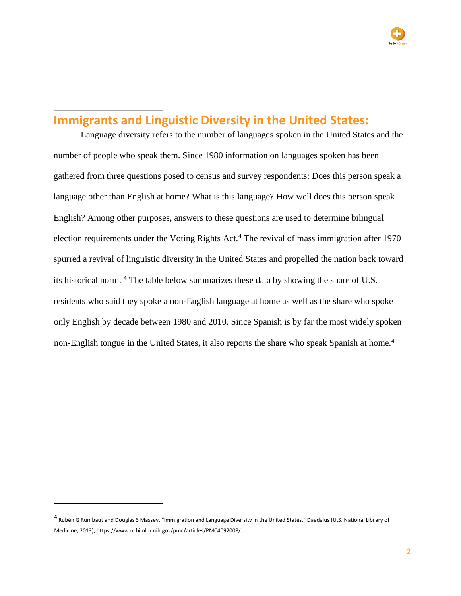### **Immigrants and Linguistic Diversity in the United States:**

Language diversity refers to the number of languages spoken in the United States and the number of people who speak them. Since 1980 information on languages spoken has been gathered from three questions posed to census and survey respondents: Does this person speak a language other than English at home? What is this language? How well does this person speak English? Among other purposes, answers to these questions are used to determine bilingual election requirements under the Voting Rights Act.<sup>4</sup> The revival of mass immigration after 1970 spurred a revival of linguistic diversity in the United States and propelled the nation back toward its historical norm. <sup>4</sup> The table below summarizes these data by showing the share of U.S. residents who said they spoke a non-English language at home as well as the share who spoke only English by decade between 1980 and 2010. Since Spanish is by far the most widely spoken non-English tongue in the United States, it also reports the share who speak Spanish at home.<sup>4</sup>

<sup>&</sup>lt;sup>4</sup> Rubén G Rumbaut and Douglas S Massey, "Immigration and Language Diversity in the United States," Daedalus (U.S. National Library of Medicine, 2013), https://www.ncbi.nlm.nih.gov/pmc/articles/PMC4092008/.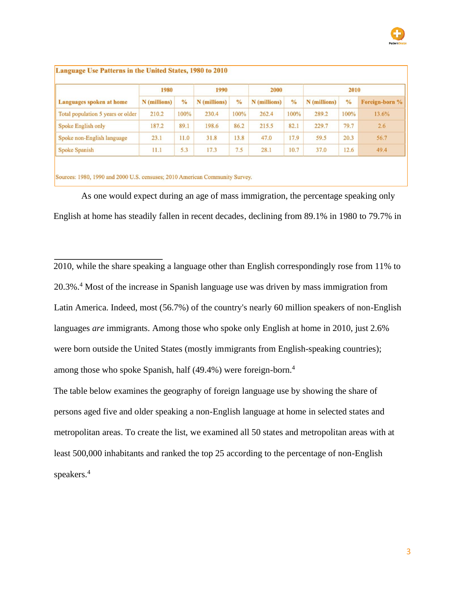

| Languages spoken at home          | 1980         |               | 1990         |               | 2000         |               | 2010         |               |                |
|-----------------------------------|--------------|---------------|--------------|---------------|--------------|---------------|--------------|---------------|----------------|
|                                   | N (millions) | $\frac{0}{0}$ | N (millions) | $\frac{0}{0}$ | N (millions) | $\frac{0}{0}$ | N (millions) | $\frac{0}{0}$ | Foreign-born % |
| Total population 5 years or older | 210.2        | 100%          | 230.4        | 100%          | 262.4        | 100%          | 289.2        | 100%          | 13.6%          |
| Spoke English only                | 187.2        | 89.1          | 198.6        | 86.2          | 215.5        | 82.1          | 229.7        | 79.7          | 2.6            |
| Spoke non-English language        | 23.1         | 11.0          | 31.8         | 13.8          | 47.0         | 17.9          | 59.5         | 20.3          | 56.7           |
| <b>Spoke Spanish</b>              | 11.1         | 5.3           | 17.3         | 7.5           | 28.1         | 10.7          | 37.0         | 12.6          | 49.4           |

Sources: 1980, 1990 and 2000 U.S. censuses; 2010 American Community Survey.

As one would expect during an age of mass immigration, the percentage speaking only English at home has steadily fallen in recent decades, declining from 89.1% in 1980 to 79.7% in

2010, while the share speaking a language other than English correspondingly rose from 11% to 20.3%.<sup>4</sup> Most of the increase in Spanish language use was driven by mass immigration from Latin America. Indeed, most (56.7%) of the country's nearly 60 million speakers of non-English languages *are* immigrants. Among those who spoke only English at home in 2010, just 2.6% were born outside the United States (mostly immigrants from English-speaking countries); among those who spoke Spanish, half (49.4%) were foreign-born.<sup>4</sup>

The table below examines the geography of foreign language use by showing the share of persons aged five and older speaking a non-English language at home in selected states and metropolitan areas. To create the list, we examined all 50 states and metropolitan areas with at least 500,000 inhabitants and ranked the top 25 according to the percentage of non-English speakers.4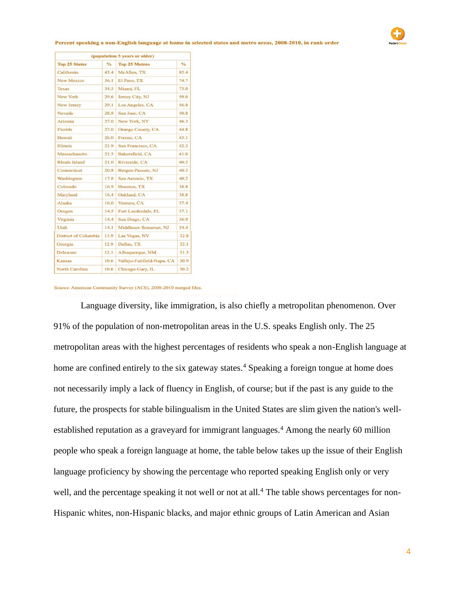|                             |               | (population 5 years or older) |                      |
|-----------------------------|---------------|-------------------------------|----------------------|
| <b>Top 25 States</b>        | $\frac{0}{6}$ | <b>Top 25 Metros</b>          | $\frac{1}{\sqrt{2}}$ |
| California                  | 43.4          | McAllen, TX                   | 85.4                 |
| <b>New Mexico</b>           | 36.1          | El Paso, TX                   | 74.7                 |
| Texas                       | 34.5          | Miami, FL                     | 73.0                 |
| New York                    | 29.6          | Jersey City, NJ               | 59.0                 |
| <b>New Jersey</b>           | 29.1          | Los Angeles, CA               | 56.8                 |
| Nevada                      | 28.8          | San Jose, CA                  | 50.8                 |
| Arizona                     | 27.0          | New York, NY                  | 46.3                 |
| Florida                     | 27.0          | <b>Orange County, CA</b>      | 44.8                 |
| Hawaii                      | 26.0          | Fresno, CA                    | 43.1                 |
| Illinois                    | 21.9          | San Francisco, CA             | 42.2                 |
| Massachusetts               | 21.5          | Bakersfield, CA               | 41.0                 |
| Rhode Island                | 21.0          | Riverside, CA                 | 40.5                 |
| Connecticut                 | 20.8          | Bergen-Passaic, NJ            | 40.5                 |
| Washington                  | 17.8          | San Antonio, TX               | 40.2                 |
| Colorado                    | 16.9          | Houston, TX                   | 38.8                 |
| Maryland                    | 16.4          | Oakland, CA                   | 38.8                 |
| Alaska                      | 16.0          | Ventura, CA                   | 37.4                 |
| Oregon                      | 14.5          | Fort Lauderdale, FL           | 37.1                 |
| Virginia                    | 14.4          | San Diego, CA                 | 36.9                 |
| Utah                        | 14.1          | Middlesex-Somerset, NJ        | 34.4                 |
| <b>District of Columbia</b> | 13.9          | Las Vegas, NV                 | 32.8                 |
| Georgia                     | 12.9          | Dallas, TX                    | 32.1                 |
| Delaware                    | 12.1          | Albuquerque, NM               | 31.3                 |
| Kansas                      | 10.6          | Vallejo-Faiifield-Napa, CA    | 30.9                 |
| <b>North Carolina</b>       | 10.6          | Chicago-Gary, IL              | 30.2                 |

#### states and metro areas, 2008-2010, in rank order



#### Source: American Community Survey (ACS), 2008-2010 merged files.

Language diversity, like immigration, is also chiefly a metropolitan phenomenon. Over 91% of the population of non-metropolitan areas in the U.S. speaks English only. The 25 metropolitan areas with the highest percentages of residents who speak a non-English language at home are confined entirely to the six gateway states.<sup>4</sup> Speaking a foreign tongue at home does not necessarily imply a lack of fluency in English, of course; but if the past is any guide to the future, the prospects for stable bilingualism in the United States are slim given the nation's wellestablished reputation as a graveyard for immigrant languages.<sup>4</sup> Among the nearly 60 million people who speak a foreign language at home, the table below takes up the issue of their English language proficiency by showing the percentage who reported speaking English only or very well, and the percentage speaking it not well or not at all.<sup>4</sup> The table shows percentages for non-Hispanic whites, non-Hispanic blacks, and major ethnic groups of Latin American and Asian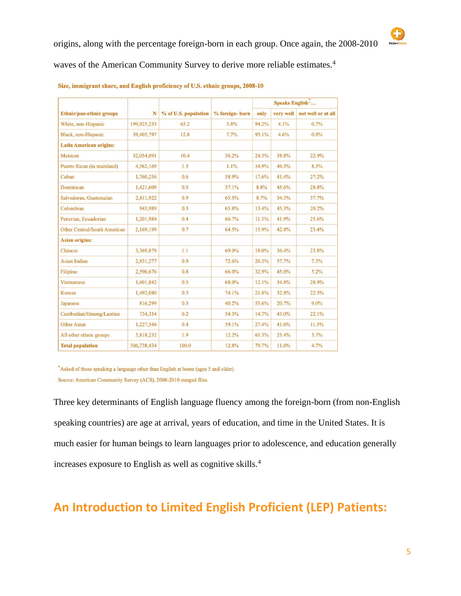|                                     | N           |                      |                | Speaks English- |           |                    |
|-------------------------------------|-------------|----------------------|----------------|-----------------|-----------|--------------------|
| Ethnic/pan-ethnic groups            |             | % of U.S. population | % foreign-born | only            | very well | not well or at all |
| White, non-Hispanic                 | 199,925,233 | 65.2                 | 3.8%           | 94.2%           | 4.1%      | 0.7%               |
| Black, non-Hispanic                 | 39,405,797  | 12.8                 | 7.7%           | 93.1%           | 4.6%      | 0.9%               |
| <b>Latin American origins:</b>      |             |                      |                |                 |           |                    |
| Mexican                             | 32,054,091  | 10.4                 | 36.2%          | 24.3%           | 38.8%     | 22.9%              |
| Puerto Rican (in mainland)          | 4,562,169   | 1.5                  | 1.1%           | 34.9%           | 46.5%     | 8.3%               |
| Cuban                               | 1,760,256   | 0.6                  | 58.9%          | 17.6%           | 41.4%     | 27.2%              |
| Dominican                           | 1,421,609   | 0.5                  | 57.1%          | 8.8%            | 45.6%     | 28.8%              |
| Salvadoran, Guatemalan              | 2,811,922   | 0.9                  | 65.5%          | 8.7%            | 34.3%     | 37.7%              |
| Colombian                           | 943,989     | 0.3                  | 65.8%          | 13.4%           | 45.3%     | 20.2%              |
| Peruvian, Ecuadorian                | 1,201,984   | 0.4                  | 66.7%          | 11.3%           | 41.9%     | 25.6%              |
| <b>Other Central/South American</b> | 2,169,199   | 0.7                  | 64.5%          | 15.9%           | 42.8%     | 23.4%              |
| <b>Asian origins:</b>               |             |                      |                |                 |           |                    |
| Chinese                             | 3,369,879   | 1.1                  | 69.0%          | 18.0%           | 36.4%     | 23.8%              |
| <b>Asian Indian</b>                 | 2,831,277   | 0.9                  | 72.6%          | 20.3%           | 57.7%     | 7.3%               |
| Filipino                            | 2,590,676   | 0.8                  | 66.0%          | 32.9%           | 45.0%     | 5.2%               |
| Vietnamese                          | 1,601,842   | 0.5                  | 68.0%          | 12.1%           | 34.8%     | 28.9%              |
| Korean                              | 1,492,080   | 0.5                  | 74.1%          | 21.8%           | 32.8%     | 22.5%              |
| Japanese                            | 816,299     | 0.3                  | 40.2%          | 55.6%           | 20.7%     | $9.0\%$            |
| Cambodian/Hmong/Laotian             | 734,354     | 0.2                  | 54.3%          | 14.7%           | 43.0%     | 22.1%              |
| <b>Other Asian</b>                  | 1,227,546   | 0.4                  | 59.1%          | 27.4%           | 41.6%     | 11.5%              |
| All other ethnic groups             | 5,818,232   | 1.9                  | 12.2%          | 65.3%           | 25.4%     | 3.7%               |
| <b>Total population</b>             | 306,738,434 | 100.0                | 12.8%          | 79.7%           | 11.6%     | 4.7%               |

#### Size, immigrant share, and English proficiency of U.S. ethnic groups, 2008-10

\*Asked of those speaking a language other than English at home (ages 5 and older). Source: American Community Survey (ACS), 2008-2010 merged files.

Three key determinants of English language fluency among the foreign-born (from non-English speaking countries) are age at arrival, years of education, and time in the United States. It is much easier for human beings to learn languages prior to adolescence, and education generally increases exposure to English as well as cognitive skills.<sup>4</sup>

### **An Introduction to Limited English Proficient (LEP) Patients:**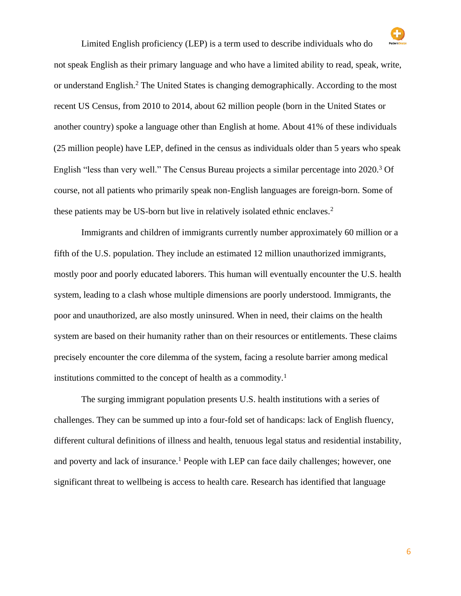

Limited English proficiency (LEP) is a term used to describe individuals who do not speak English as their primary language and who have a limited ability to read, speak, write, or understand English.<sup>2</sup> The United States is changing demographically. According to the most recent US Census, from 2010 to 2014, about 62 million people (born in the United States or another country) spoke a language other than English at home. About 41% of these individuals (25 million people) have LEP, defined in the census as individuals older than 5 years who speak English "less than very well." The Census Bureau projects a similar percentage into 2020.<sup>3</sup> Of course, not all patients who primarily speak non-English languages are foreign-born. Some of these patients may be US-born but live in relatively isolated ethnic enclaves.<sup>2</sup>

Immigrants and children of immigrants currently number approximately 60 million or a fifth of the U.S. population. They include an estimated 12 million unauthorized immigrants, mostly poor and poorly educated laborers. This human will eventually encounter the U.S. health system, leading to a clash whose multiple dimensions are poorly understood. Immigrants, the poor and unauthorized, are also mostly uninsured. When in need, their claims on the health system are based on their humanity rather than on their resources or entitlements. These claims precisely encounter the core dilemma of the system, facing a resolute barrier among medical institutions committed to the concept of health as a commodity.<sup>1</sup>

The surging immigrant population presents U.S. health institutions with a series of challenges. They can be summed up into a four-fold set of handicaps: lack of English fluency, different cultural definitions of illness and health, tenuous legal status and residential instability, and poverty and lack of insurance.<sup>1</sup> People with LEP can face daily challenges; however, one significant threat to wellbeing is access to health care. Research has identified that language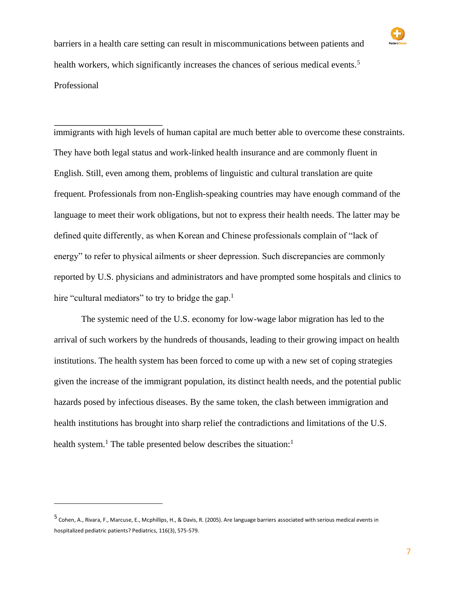

barriers in a health care setting can result in miscommunications between patients and health workers, which significantly increases the chances of serious medical events.<sup>5</sup> Professional

immigrants with high levels of human capital are much better able to overcome these constraints. They have both legal status and work-linked health insurance and are commonly fluent in English. Still, even among them, problems of linguistic and cultural translation are quite frequent. Professionals from non-English-speaking countries may have enough command of the language to meet their work obligations, but not to express their health needs. The latter may be defined quite differently, as when Korean and Chinese professionals complain of "lack of energy" to refer to physical ailments or sheer depression. Such discrepancies are commonly reported by U.S. physicians and administrators and have prompted some hospitals and clinics to hire "cultural mediators" to try to bridge the gap.<sup>1</sup>

The systemic need of the U.S. economy for low-wage labor migration has led to the arrival of such workers by the hundreds of thousands, leading to their growing impact on health institutions. The health system has been forced to come up with a new set of coping strategies given the increase of the immigrant population, its distinct health needs, and the potential public hazards posed by infectious diseases. By the same token, the clash between immigration and health institutions has brought into sharp relief the contradictions and limitations of the U.S. health system.<sup>1</sup> The table presented below describes the situation:<sup>1</sup>

<sup>5</sup> Cohen, A., Rivara, F., Marcuse, E., Mcphillips, H., & Davis, R. (2005). Are language barriers associated with serious medical events in hospitalized pediatric patients? Pediatrics, 116(3), 575-579.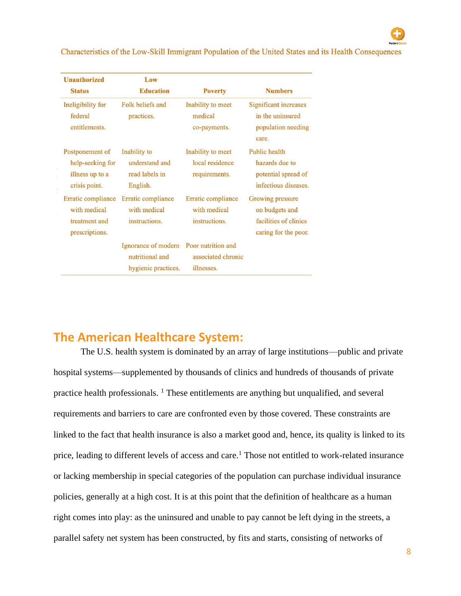Characteristics of the Low-Skill Immigrant Population of the United States and its Health Consequences

| <b>Unauthorized</b><br><b>Status</b>                                    | Low<br><b>Education</b>                                                          | <b>Poverty</b>                                        | <b>Numbers</b>                                                                      |
|-------------------------------------------------------------------------|----------------------------------------------------------------------------------|-------------------------------------------------------|-------------------------------------------------------------------------------------|
| Ineligibility for<br>federal<br>entitlements.                           | Folk beliefs and<br>practices.                                                   | Inability to meet<br>medical<br>co-payments.          | Significant increases<br>in the uninsured<br>population needing<br>care.            |
| Postponement of<br>help-seeking for<br>illness up to a<br>crisis point. | Inability to<br>understand and<br>read labels in<br>English.                     | Inability to meet<br>local residence<br>requirements. | Public health<br>hazards due to<br>potential spread of<br>infectious diseases.      |
| Erratic compliance<br>with medical<br>treatment and<br>prescriptions.   | Erratic compliance<br>with medical<br>instructions.                              | Erratic compliance<br>with medical<br>instructions.   | Growing pressure<br>on budgets and<br>facilities of clinics<br>caring for the poor. |
|                                                                         | Ignorance of modern Poor nutrition and<br>nutritional and<br>hygienic practices. | associated chronic<br>illnesses.                      |                                                                                     |

### **The American Healthcare System:**

The U.S. health system is dominated by an array of large institutions—public and private hospital systems—supplemented by thousands of clinics and hundreds of thousands of private practice health professionals. <sup>1</sup> These entitlements are anything but unqualified, and several requirements and barriers to care are confronted even by those covered. These constraints are linked to the fact that health insurance is also a market good and, hence, its quality is linked to its price, leading to different levels of access and care.<sup>1</sup> Those not entitled to work-related insurance or lacking membership in special categories of the population can purchase individual insurance policies, generally at a high cost. It is at this point that the definition of healthcare as a human right comes into play: as the uninsured and unable to pay cannot be left dying in the streets, a parallel safety net system has been constructed, by fits and starts, consisting of networks of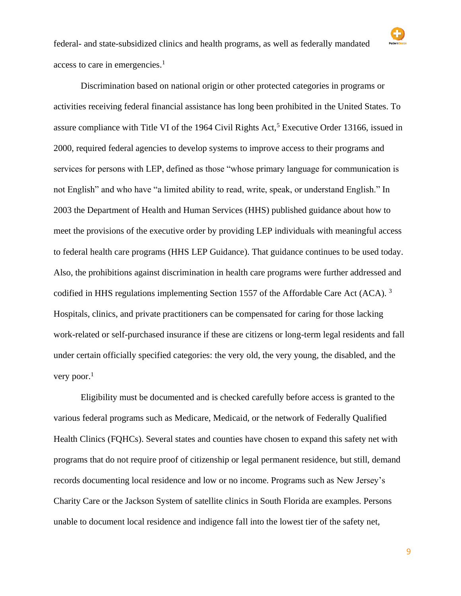

#### very poor. $1$

Eligibility must be documented and is checked carefully before access is granted to the various federal programs such as Medicare, Medicaid, or the network of Federally Qualified Health Clinics (FQHCs). Several states and counties have chosen to expand this safety net with programs that do not require proof of citizenship or legal permanent residence, but still, demand records documenting local residence and low or no income. Programs such as New Jersey's Charity Care or the Jackson System of satellite clinics in South Florida are examples. Persons unable to document local residence and indigence fall into the lowest tier of the safety net,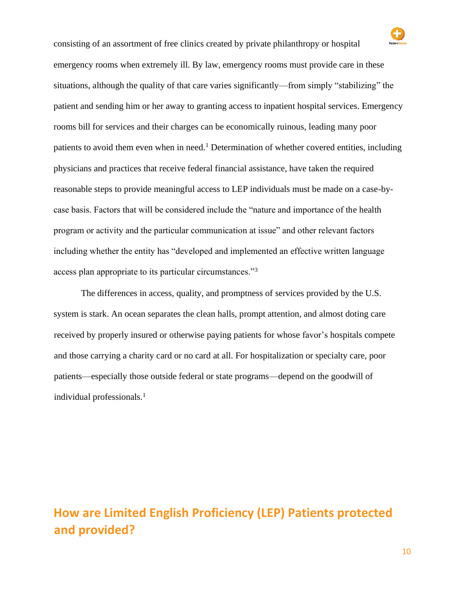consisting of an assortment of free clinics created by private philanthropy or hospital emergency rooms when extremely ill. By law, emergency rooms must provide care in these situations, although the quality of that care varies significantly—from simply "stabilizing" the patient and sending him or her away to granting access to inpatient hospital services. Emergency rooms bill for services and their charges can be economically ruinous, leading many poor patients to avoid them even when in need.<sup>1</sup> Determination of whether covered entities, including physicians and practices that receive federal financial assistance, have taken the required reasonable steps to provide meaningful access to LEP individuals must be made on a case-bycase basis. Factors that will be considered include the "nature and importance of the health program or activity and the particular communication at issue" and other relevant factors including whether the entity has "developed and implemented an effective written language access plan appropriate to its particular circumstances."<sup>3</sup>

The differences in access, quality, and promptness of services provided by the U.S. system is stark. An ocean separates the clean halls, prompt attention, and almost doting care received by properly insured or otherwise paying patients for whose favor's hospitals compete and those carrying a charity card or no card at all. For hospitalization or specialty care, poor patients—especially those outside federal or state programs—depend on the goodwill of individual professionals.<sup>1</sup>

## **How are Limited English Proficiency (LEP) Patients protected and provided?**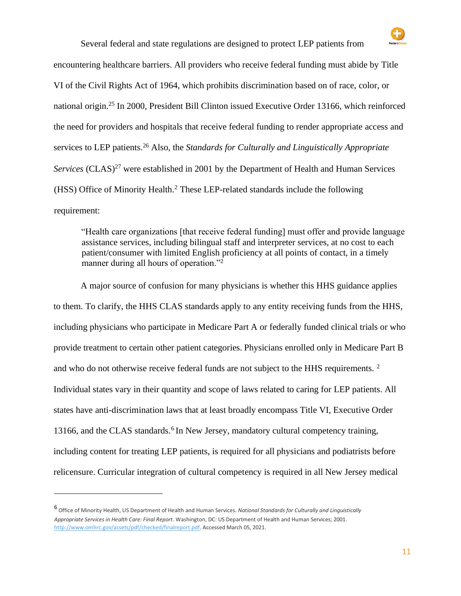

Several federal and state regulations are designed to protect LEP patients from

encountering healthcare barriers. All providers who receive federal funding must abide by Title VI of the Civil Rights Act of 1964, which prohibits discrimination based on of race, color, or national origin.<sup>25</sup> In 2000, President Bill Clinton issued Executive Order 13166, which reinforced the need for providers and hospitals that receive federal funding to render appropriate access and services to LEP patients.<sup>26</sup> Also, the *Standards for Culturally and Linguistically Appropriate Services* (CLAS)<sup>27</sup> were established in 2001 by the Department of Health and Human Services (HSS) Office of Minority Health.<sup>2</sup> These LEP-related standards include the following requirement:

"Health care organizations [that receive federal funding] must offer and provide language assistance services, including bilingual staff and interpreter services, at no cost to each patient/consumer with limited English proficiency at all points of contact, in a timely manner during all hours of operation."<sup>2</sup>

A major source of confusion for many physicians is whether this HHS guidance applies to them. To clarify, the HHS CLAS standards apply to any entity receiving funds from the HHS, including physicians who participate in Medicare Part A or federally funded clinical trials or who provide treatment to certain other patient categories. Physicians enrolled only in Medicare Part B and who do not otherwise receive federal funds are not subject to the HHS requirements.<sup>2</sup> Individual states vary in their quantity and scope of laws related to caring for LEP patients. All states have anti-discrimination laws that at least broadly encompass Title VI, Executive Order 13166, and the CLAS standards.<sup>6</sup> In New Jersey, mandatory cultural competency training, including content for treating LEP patients, is required for all physicians and podiatrists before relicensure. Curricular integration of cultural competency is required in all New Jersey medical

<sup>6</sup> Office of Minority Health, US Department of Health and Human Services. *National Standards for Culturally and Linguistically Appropriate Services in Health Care: Final Report*. Washington, DC: US Department of Health and Human Services; 200[1.](http://www.omhrc.gov/assets/pdf/checked/finalreport.pdf) [http://www.omhrc.gov/assets/pdf/checked/finalreport.pdf.](http://www.omhrc.gov/assets/pdf/checked/finalreport.pdf) Accessed March 05, 2021.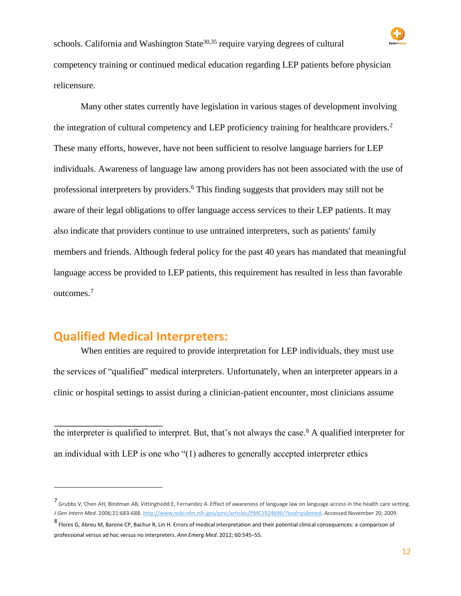

Many other states currently have legislation in various stages of development involving the integration of cultural competency and LEP proficiency training for healthcare providers.<sup>2</sup> These many efforts, however, have not been sufficient to resolve language barriers for LEP individuals. Awareness of language law among providers has not been associated with the use of professional interpreters by providers.<sup>6</sup> This finding suggests that providers may still not be aware of their legal obligations to offer language access services to their LEP patients. It may also indicate that providers continue to use untrained interpreters, such as patients' family members and friends. Although federal policy for the past 40 years has mandated that meaningful language access be provided to LEP patients, this requirement has resulted in less than favorable outcomes.<sup>7</sup>

### **Qualified Medical Interpreters:**

When entities are required to provide interpretation for LEP individuals, they must use the services of "qualified" medical interpreters. Unfortunately, when an interpreter appears in a clinic or hospital settings to assist during a clinician-patient encounter, most clinicians assume

the interpreter is qualified to interpret. But, that's not always the case.<sup>8</sup> A qualified interpreter for an individual with LEP is one who "(1) adheres to generally accepted interpreter ethics

<sup>7</sup> Grubbs V, Chen AH, Bindman AB, Vittinghodd E, Fernandez A. Effect of awareness of language law on language access in the health care setting. *J Gen Intern Med*. 2006;21:683-688. [http://www.ncbi.nlm.nih.gov/pmc/articles/PMC1924696/?tool=pubmed.](http://www.ncbi.nlm.nih.gov/pmc/articles/PMC1924696/?tool=pubmed) Accessed November 20, 2009.

<sup>8</sup> Flores G, Abreu M, Barone CP, Bachur R, Lin H. Errors of medical interpretation and their potential clinical consequences: a comparison of professional versus ad hoc versus no interpreters. *Ann Emerg Med*. 2012; 60:545–55.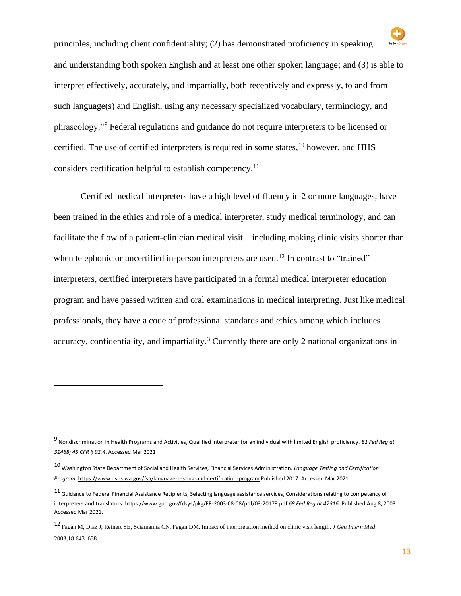principles, including client confidentiality; (2) has demonstrated proficiency in speaking and understanding both spoken English and at least one other spoken language; and (3) is able to interpret effectively, accurately, and impartially, both receptively and expressly, to and from such language(s) and English, using any necessary specialized vocabulary, terminology, and phraseology."<sup>9</sup> Federal regulations and guidance do not require interpreters to be licensed or certified. The use of certified interpreters is required in some states,<sup>10</sup> however, and HHS considers certification helpful to establish competency.<sup>11</sup>

Certified medical interpreters have a high level of fluency in 2 or more languages, have been trained in the ethics and role of a medical interpreter, study medical terminology, and can facilitate the flow of a patient-clinician medical visit—including making clinic visits shorter than when telephonic or uncertified in-person interpreters are used.<sup>12</sup> In contrast to "trained" interpreters, certified interpreters have participated in a formal medical interpreter education program and have passed written and oral examinations in medical interpreting. Just like medical professionals, they have a code of professional standards and ethics among which includes accuracy, confidentiality, and impartiality.<sup>3</sup> Currently there are only 2 national organizations in

<sup>9</sup> Nondiscrimination in Health Programs and Activities, Qualified interpreter for an individual with limited English proficiency. *81 Fed Reg at 31468; 45 CFR § 92.4*. Accessed Mar 2021

<sup>10</sup> Washington State Department of Social and Health Services, Financial Services Administration. *Language Testing and Certification Progra[m](https://www.dshs.wa.gov/fsa/language-testing-and-certification-program)*. <https://www.dshs.wa.gov/fsa/language-testing-and-certification-program> [Pu](https://www.dshs.wa.gov/fsa/language-testing-and-certification-program)blished 2017. Accessed Mar 2021.

 $11$  Guidance to Federal Financial Assistance Recipients, Selecting language assistance services, Considerations relating to competency of interpreters and translator[s.](https://www.gpo.gov/fdsys/pkg/FR-2003-08-08/pdf/03-20179.pdf) <https://www.gpo.gov/fdsys/pkg/FR-2003-08-08/pdf/03-20179.pdf> *[68](https://www.gpo.gov/fdsys/pkg/FR-2003-08-08/pdf/03-20179.pdf) Fed Reg at 47316*. Published Aug 8, 2003. Accessed Mar 2021.

<sup>12</sup> Fagan M, Diaz J, Reinert SE, Sciamanna CN, Fagan DM. Impact of interpretation method on clinic visit length. *J Gen Intern Med*. 2003;18:643–638.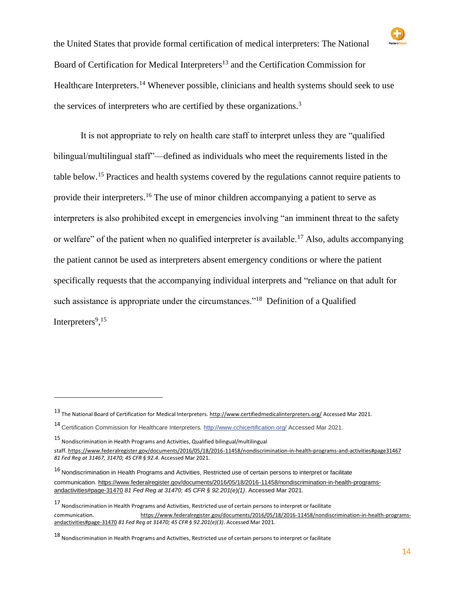

the United States that provide formal certification of medical interpreters: The National Board of Certification for Medical Interpreters<sup>13</sup> and the Certification Commission for Healthcare Interpreters.<sup>14</sup> Whenever possible, clinicians and health systems should seek to use the services of interpreters who are certified by these organizations.<sup>3</sup>

It is not appropriate to rely on health care staff to interpret unless they are "qualified bilingual/multilingual staff"—defined as individuals who meet the requirements listed in the table below.<sup>15</sup> Practices and health systems covered by the regulations cannot require patients to provide their interpreters.<sup>16</sup> The use of minor children accompanying a patient to serve as interpreters is also prohibited except in emergencies involving "an imminent threat to the safety or welfare" of the patient when no qualified interpreter is available.<sup>17</sup> Also, adults accompanying the patient cannot be used as interpreters absent emergency conditions or where the patient specifically requests that the accompanying individual interprets and "reliance on that adult for such assistance is appropriate under the circumstances."<sup>18</sup> Definition of a Qualified Interpreters<sup>9</sup>,<sup>15</sup>

<sup>13</sup> The National Board of Certification for Medical Interpreters. <http://www.certifiedmedicalinterpreters.org/> [Ac](http://www.certifiedmedicalinterpreters.org/)cessed Mar 2021.

<sup>14</sup> Certification Commission for Healthcare Interpreters. <http://www.cchicertification.org/> Accessed Mar 2021.

<sup>15</sup> Nondiscrimination in Health Programs and Activities, Qualified bilingual/multilingual staf[f.](https://www.federalregister.gov/documents/2016/05/18/2016-11458/nondiscrimination-in-health-programs-and-activities#page-31467) [https://www.federalregister.gov/documents/2016/05/18/2016-11458/nondiscrimination-in-health-programs-and-activities#page31467](https://www.federalregister.gov/documents/2016/05/18/2016-11458/nondiscrimination-in-health-programs-and-activities#page-31467) *[81](https://www.federalregister.gov/documents/2016/05/18/2016-11458/nondiscrimination-in-health-programs-and-activities#page-31467) Fed Reg at 31467, 31470; 45 CFR § 92.4*. Accessed Mar 2021.

<sup>16</sup> Nondiscrimination in Health Programs and Activities, Restricted use of certain persons to interpret or facilitate communication. [https://www.federalregister.gov/documents/2016/05/18/2016-11458/nondiscrimination-in-health-programs](https://www.federalregister.gov/documents/2016/05/18/2016-11458/nondiscrimination-in-health-programs-and-activities#page-31470)[andactivities#page-31470](https://www.federalregister.gov/documents/2016/05/18/2016-11458/nondiscrimination-in-health-programs-and-activities#page-31470) *81 Fed Reg at 31470; 45 CFR § 92.201(e)(1)*. Accessed Mar 2021.

<sup>17</sup> Nondiscrimination in Health Programs and Activities, Restricted use of certain persons to interpret or facilitate communication. [https://www.federalregister.gov/documents/2016/05/18/2016-11458/nondiscrimination-in-health-programs](https://www.federalregister.gov/documents/2016/05/18/2016-11458/nondiscrimination-in-health-programs-and-activities#page-31470)[andactivities#page-31470](https://www.federalregister.gov/documents/2016/05/18/2016-11458/nondiscrimination-in-health-programs-and-activities#page-31470) *[81](https://www.federalregister.gov/documents/2016/05/18/2016-11458/nondiscrimination-in-health-programs-and-activities#page-31470) Fed Reg at 31470; 45 CFR § 92.201(e)(3)*. Accessed Mar 2021.

<sup>18</sup> Nondiscrimination in Health Programs and Activities, Restricted use of certain persons to interpret or facilitate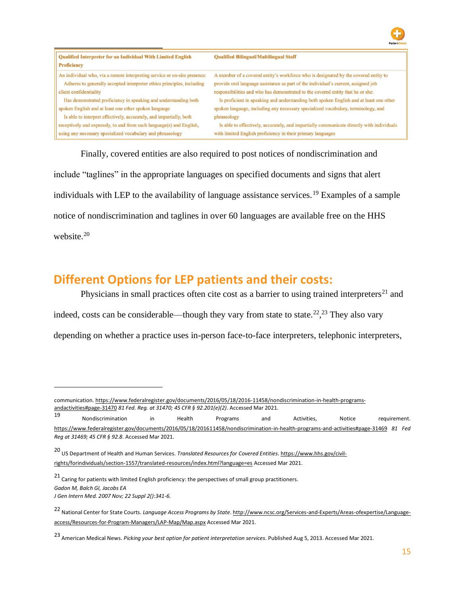| Qualified Interpreter for an Individual With Limited English<br><b>Proficiency</b> | <b>Qualified Bilingual/Multilingual Staff</b>                                             |
|------------------------------------------------------------------------------------|-------------------------------------------------------------------------------------------|
| An individual who, via a remote interpreting service or on-site presence:          | A member of a covered entity's workforce who is designated by the covered entity to       |
| Adheres to generally accepted interpreter ethics principles, including             | provide oral language assistance as part of the individual's current, assigned job        |
| client confidentiality                                                             | responsibilities and who has demonstrated to the covered entity that he or she:           |
| Has demonstrated proficiency in speaking and understanding both                    | Is proficient in speaking and understanding both spoken English and at least one other    |
| spoken English and at least one other spoken language                              | spoken language, including any necessary specialized vocabulary, terminology, and         |
| Is able to interpret effectively, accurately, and impartially, both                | phraseology                                                                               |
| receptively and expressly, to and from such language(s) and English,               | Is able to effectively, accurately, and impartially communicate directly with individuals |
| using any necessary specialized vocabulary and phraseology                         | with limited English proficiency in their primary languages                               |

Finally, covered entities are also required to post notices of nondiscrimination and include "taglines" in the appropriate languages on specified documents and signs that alert individuals with LEP to the availability of language assistance services.<sup>19</sup> Examples of a sample notice of nondiscrimination and taglines in over 60 languages are available free on the HHS website.<sup>20</sup>

### **Different Options for LEP patients and their costs:**

Physicians in small practices often cite cost as a barrier to using trained interpreters<sup>21</sup> and indeed, costs can be considerable—though they vary from state to state.<sup>22</sup>,<sup>23</sup> They also vary depending on whether a practice uses in-person face-to-face interpreters, telephonic interpreters,

communication. [https://www.federalregister.gov/documents/2016/05/18/2016-11458/nondiscrimination-in-health-programs](https://www.federalregister.gov/documents/2016/05/18/2016-11458/nondiscrimination-in-health-programs-and-activities#page-31470)[andactivities#page-31470](https://www.federalregister.gov/documents/2016/05/18/2016-11458/nondiscrimination-in-health-programs-and-activities#page-31470) *[81](https://www.federalregister.gov/documents/2016/05/18/2016-11458/nondiscrimination-in-health-programs-and-activities#page-31470) Fed. Reg. at 31470; 45 CFR § 92.201(e)(2)*. Accessed Mar 2021.

<sup>19</sup> Nondiscrimination in Health Programs and Activities, Notice requiremen[t.](https://www.federalregister.gov/documents/2016/05/18/2016-11458/nondiscrimination-in-health-programs-and-activities#page-31469) [https://www.federalregister.gov/documents/2016/05/18/201611458/nondiscrimination-in-health-programs-and-activities#page-31469](https://www.federalregister.gov/documents/2016/05/18/2016-11458/nondiscrimination-in-health-programs-and-activities#page-31469) *[81](https://www.federalregister.gov/documents/2016/05/18/2016-11458/nondiscrimination-in-health-programs-and-activities#page-31469) Fed Reg at 31469; 45 CFR § 92.8*. Accessed Mar 2021.

<sup>20</sup> US Department of Health and Human Services. *Translated Resources for Covered Entitie[s](https://www.hhs.gov/civil-rights/for-individuals/section-1557/translated-resources/index.html?language=es)*. [https://www.hhs.gov/civil](https://www.hhs.gov/civil-rights/for-individuals/section-1557/translated-resources/index.html?language=es)[rights/forindividuals/section-1557/translated-resources/index.html?language=es](https://www.hhs.gov/civil-rights/for-individuals/section-1557/translated-resources/index.html?language=es) [Ac](https://www.hhs.gov/civil-rights/for-individuals/section-1557/translated-resources/index.html?language=es)cessed Mar 2021.

 $21$  Caring for patients with limited English proficiency: the perspectives of small group practitioners. *Gadon M, Balch GI, Jacobs EA J Gen Intern Med. 2007 Nov; 22 Suppl 2():341-6.* 

<sup>22</sup> National Center for State Courts. *Language Access Programs by State*[.](http://www.ncsc.org/Services-and-Experts/Areas-of-expertise/Language-access/Resources-for-Program-Managers/LAP-Map/Map.aspx) [http://www.ncsc.org/Services-and-Experts/Areas-ofexpertise/Language](http://www.ncsc.org/Services-and-Experts/Areas-of-expertise/Language-access/Resources-for-Program-Managers/LAP-Map/Map.aspx)[access/Resources-for-Program-Managers/LAP-Map/Map.aspx](http://www.ncsc.org/Services-and-Experts/Areas-of-expertise/Language-access/Resources-for-Program-Managers/LAP-Map/Map.aspx) [Ac](http://www.ncsc.org/Services-and-Experts/Areas-of-expertise/Language-access/Resources-for-Program-Managers/LAP-Map/Map.aspx)cessed Mar 2021.

<sup>23</sup> American Medical News. *Picking your best option for patient interpretation services*. Published Aug 5, 2013. Accessed Mar 2021.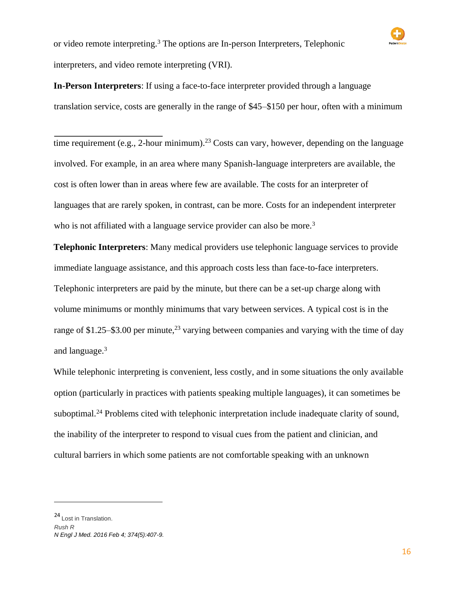**In-Person Interpreters**: If using a face-to-face interpreter provided through a language translation service, costs are generally in the range of \$45–\$150 per hour, often with a minimum

time requirement (e.g., 2-hour minimum).<sup>23</sup> Costs can vary, however, depending on the language involved. For example, in an area where many Spanish-language interpreters are available, the cost is often lower than in areas where few are available. The costs for an interpreter of languages that are rarely spoken, in contrast, can be more. Costs for an independent interpreter who is not affiliated with a language service provider can also be more.<sup>3</sup>

**Telephonic Interpreters**: Many medical providers use telephonic language services to provide immediate language assistance, and this approach costs less than face-to-face interpreters. Telephonic interpreters are paid by the minute, but there can be a set-up charge along with volume minimums or monthly minimums that vary between services. A typical cost is in the range of \$1.25–\$3.00 per minute,<sup>23</sup> varying between companies and varying with the time of day and language.<sup>3</sup>

While telephonic interpreting is convenient, less costly, and in some situations the only available option (particularly in practices with patients speaking multiple languages), it can sometimes be suboptimal.<sup>24</sup> Problems cited with telephonic interpretation include inadequate clarity of sound, the inability of the interpreter to respond to visual cues from the patient and clinician, and cultural barriers in which some patients are not comfortable speaking with an unknown

<sup>24</sup> Lost in Translation.

*Rush R N Engl J Med. 2016 Feb 4; 374(5):407-9.*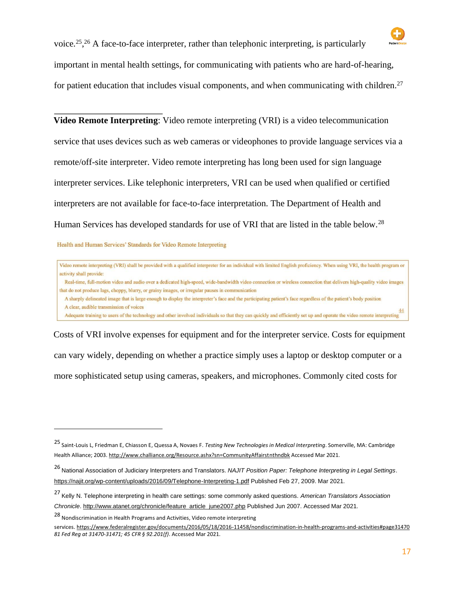

voice.<sup>25</sup>,<sup>26</sup> A face-to-face interpreter, rather than telephonic interpreting, is particularly important in mental health settings, for communicating with patients who are hard-of-hearing, for patient education that includes visual components, and when communicating with children.<sup>27</sup>

**Video Remote Interpreting**: Video remote interpreting (VRI) is a video telecommunication service that uses devices such as web cameras or videophones to provide language services via a remote/off-site interpreter. Video remote interpreting has long been used for sign language interpreter services. Like telephonic interpreters, VRI can be used when qualified or certified interpreters are not available for face-to-face interpretation. The Department of Health and Human Services has developed standards for use of VRI that are listed in the table below.<sup>28</sup>

Health and Human Services' Standards for Video Remote Interpreting

Video remote interpreting (VRI) shall be provided with a qualified interpreter for an individual with limited English proficiency. When using VRI, the health program or activity shall provide: Real-time, full-motion video and audio over a dedicated high-speed, wide-bandwidth video connection or wireless connection that delivers high-quality video images that do not produce lags, choppy, blurry, or grainy images, or irregular pauses in communication A sharply delineated image that is large enough to display the interpreter's face and the participating patient's face regardless of the patient's body position A clear, audible transmission of voices A clear, authority and substantial of volces<br>Adequate training to users of the technology and other involved individuals so that they can quickly and efficiently set up and operate the video remote interpreting  $\frac{44}{3}$ 

Costs of VRI involve expenses for equipment and for the interpreter service. Costs for equipment can vary widely, depending on whether a practice simply uses a laptop or desktop computer or a more sophisticated setup using cameras, speakers, and microphones. Commonly cited costs for

<sup>25</sup> Saint-Louis L, Friedman E, Chiasson E, Quessa A, Novaes F. *Testing New Technologies in Medical Interpreting*. Somerville, MA: Cambridge Health Alliance; 2003. <http://www.challiance.org/Resource.ashx?sn=CommunityAffairstnthndbk> [Ac](http://www.challiance.org/Resource.ashx?sn=CommunityAffairstnthndbk)cessed Mar 2021.

<sup>26</sup> National Association of Judiciary Interpreters and Translators. *NAJIT Position Paper: Telephone Interpreting in Legal Setting[s](https://najit.org/wp-content/uploads/2016/09/Telephone-Interpreting-1.pdf)*[.](https://najit.org/wp-content/uploads/2016/09/Telephone-Interpreting-1.pdf) <https://najit.org/wp-content/uploads/2016/09/Telephone-Interpreting-1.pdf> Published Feb 27, 2009. Mar 2021.

<sup>27</sup> Kelly N. Telephone interpreting in health care settings: some commonly asked questions. *American Translators Association Chronicle*[.](http://www.atanet.org/chronicle/feature_article_june2007.php) [http://www.atanet.org/chronicle/feature\\_article\\_june2007.php](http://www.atanet.org/chronicle/feature_article_june2007.php) Published Jun 2007. Accessed Mar 2021.

<sup>28</sup> Nondiscrimination in Health Programs and Activities, Video remote interpreting

services. [https://www.federalregister.gov/documents/2016/05/18/2016-11458/nondiscrimination-in-health-programs-and-activities#page31470](https://www.federalregister.gov/documents/2016/05/18/2016-11458/nondiscrimination-in-health-programs-and-activities#page-31470) *[81](https://www.federalregister.gov/documents/2016/05/18/2016-11458/nondiscrimination-in-health-programs-and-activities#page-31470) Fed Reg at 31470-31471; 45 CFR § 92.201(f)*. Accessed Mar 2021.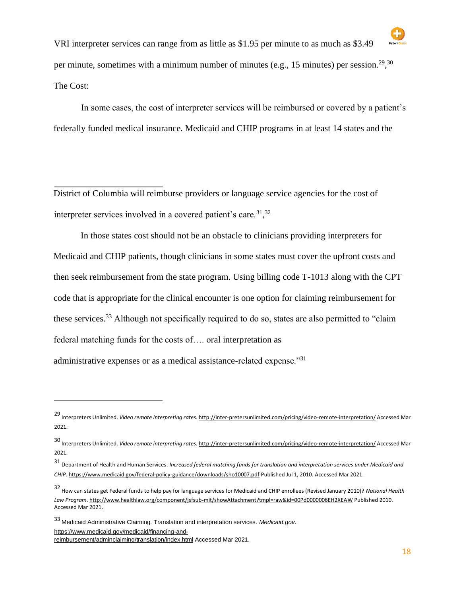

VRI interpreter services can range from as little as \$1.95 per minute to as much as \$3.49 per minute, sometimes with a minimum number of minutes (e.g., 15 minutes) per session.<sup>29</sup>,<sup>30</sup> The Cost:

In some cases, the cost of interpreter services will be reimbursed or covered by a patient's federally funded medical insurance. Medicaid and CHIP programs in at least 14 states and the

District of Columbia will reimburse providers or language service agencies for the cost of interpreter services involved in a covered patient's care.  $31,32$ 

In those states cost should not be an obstacle to clinicians providing interpreters for Medicaid and CHIP patients, though clinicians in some states must cover the upfront costs and then seek reimbursement from the state program. Using billing code T-1013 along with the CPT code that is appropriate for the clinical encounter is one option for claiming reimbursement for these services.<sup>33</sup> Although not specifically required to do so, states are also permitted to "claim" federal matching funds for the costs of…. oral interpretation as administrative expenses or as a medical assistance-related expense."<sup>31</sup>

<sup>33</sup> Medicaid Administrative Claiming. Translation and interpretation services. *Medicaid.go[v](https://www.medicaid.gov/medicaid/financing-and-reimbursement/admin-claiming/translation/index.html)*[.](https://www.medicaid.gov/medicaid/financing-and-reimbursement/admin-claiming/translation/index.html)

[https://www.medicaid.gov/medicaid/financing-and-](https://www.medicaid.gov/medicaid/financing-and-reimbursement/admin-claiming/translation/index.html)

<sup>29</sup> Interpreters Unlimited. *Video remote interpreting rate[s](http://inter-pretersunlimited.com/pricing/video-remote-interpretation/)*. <http://inter-pretersunlimited.com/pricing/video-remote-interpretation/> [Ac](http://inter-pretersunlimited.com/pricing/video-remote-interpretation/)cessed Mar 2021.

<sup>30</sup> Interpreters Unlimited. *Video remote interpreting rate[s](http://inter-pretersunlimited.com/pricing/video-remote-interpretation/)*. <http://inter-pretersunlimited.com/pricing/video-remote-interpretation/> [Ac](http://inter-pretersunlimited.com/pricing/video-remote-interpretation/)cessed Mar 2021.

<sup>31</sup> Department of Health and Human Services. *Increased federal matching funds for translation and interpretation services under Medicaid and CHI[P](https://www.medicaid.gov/federal-policy-guidance/downloads/sho10007.pdf)*[.](https://www.medicaid.gov/federal-policy-guidance/downloads/sho10007.pdf) <https://www.medicaid.gov/federal-policy-guidance/downloads/sho10007.pdf> [Pu](https://www.medicaid.gov/federal-policy-guidance/downloads/sho10007.pdf)blished Jul 1, 2010. Accessed Mar 2021.

<sup>32</sup> How can states get Federal funds to help pay for language services for Medicaid and CHIP enrollees (Revised January 2010)? *National Health Law Progra[m](http://www.healthlaw.org/component/jsfsub-mit/showAttachment?tmpl=raw&id=00Pd0000006EH2XEAW)*. <http://www.healthlaw.org/component/jsfsub-mit/showAttachment?tmpl=raw&id=00Pd0000006EH2XEAW> [Pu](http://www.healthlaw.org/component/jsfsub-mit/showAttachment?tmpl=raw&id=00Pd0000006EH2XEAW)blished 2010. Accessed Mar 2021.

[reimbursement/adminclaiming/translation/index.html](https://www.medicaid.gov/medicaid/financing-and-reimbursement/admin-claiming/translation/index.html) Accessed Mar 2021.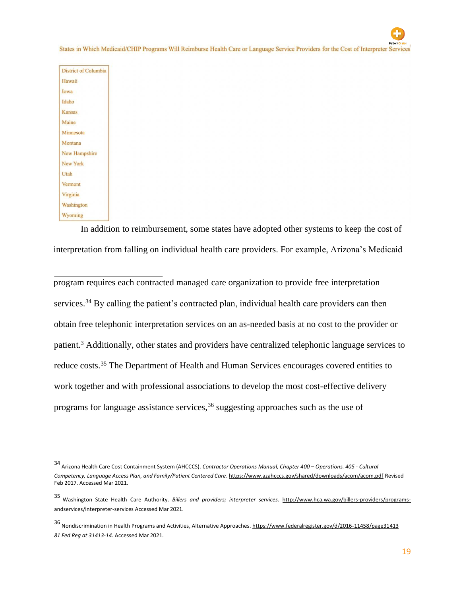States in Which Medicaid/CHIP Programs Will Reimburse Health Care or Language Service Providers for the Cost of Interpreter Service

| <b>District of Columb</b> |  |
|---------------------------|--|
| Hawaii                    |  |
| Iowa                      |  |
| Idaho                     |  |
| Kansas                    |  |
| Maine                     |  |
| Minnesota                 |  |
| Montana                   |  |
| New Hampshire             |  |
| New York                  |  |
| Utah                      |  |
| Vermont                   |  |
| Virginia                  |  |
| Washington                |  |
| Wyoming                   |  |

In addition to reimbursement, some states have adopted other systems to keep the cost of interpretation from falling on individual health care providers. For example, Arizona's Medicaid

program requires each contracted managed care organization to provide free interpretation services.<sup>34</sup> By calling the patient's contracted plan, individual health care providers can then obtain free telephonic interpretation services on an as-needed basis at no cost to the provider or patient.<sup>3</sup> Additionally, other states and providers have centralized telephonic language services to reduce costs.<sup>35</sup> The Department of Health and Human Services encourages covered entities to work together and with professional associations to develop the most cost-effective delivery programs for language assistance services,  $36$  suggesting approaches such as the use of

<sup>34</sup> Arizona Health Care Cost Containment System (AHCCCS). *Contractor Operations Manual, Chapter 400 – Operations. 405 - Cultural Competency, Language Access Plan, and Family/Patient Centered Car[e](https://www.azahcccs.gov/shared/downloads/acom/acom.pdf)*. <https://www.azahcccs.gov/shared/downloads/acom/acom.pdf> Revised Feb 2017. Accessed Mar 2021.

<sup>35</sup> Washington State Health Care Authority. *Billers and providers; interpreter service[s](http://www.hca.wa.gov/billers-providers/programs-and-services/interpreter-services)*. [http://www.hca.wa.gov/billers-providers/programs](http://www.hca.wa.gov/billers-providers/programs-and-services/interpreter-services)[andservices/interpreter-services](http://www.hca.wa.gov/billers-providers/programs-and-services/interpreter-services) [Ac](http://www.hca.wa.gov/billers-providers/programs-and-services/interpreter-services)cessed Mar 2021.

<sup>36</sup> Nondiscrimination in Health Programs and Activities, Alternative Approaches. [https://www.federalregister.gov/d/2016-11458/page31413](https://www.federalregister.gov/d/2016-11458/page-31413) *[81](https://www.federalregister.gov/d/2016-11458/page-31413) Fed Reg at 31413-14*. Accessed Mar 2021.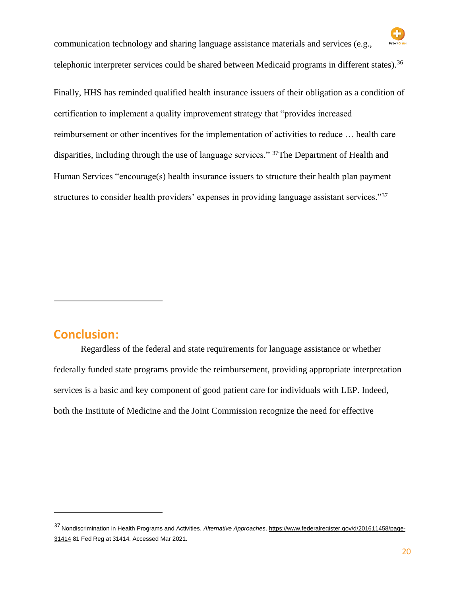

communication technology and sharing language assistance materials and services (e.g., telephonic interpreter services could be shared between Medicaid programs in different states).<sup>36</sup>

Finally, HHS has reminded qualified health insurance issuers of their obligation as a condition of certification to implement a quality improvement strategy that "provides increased reimbursement or other incentives for the implementation of activities to reduce … health care disparities, including through the use of language services." <sup>37</sup>The Department of Health and Human Services "encourage(s) health insurance issuers to structure their health plan payment structures to consider health providers' expenses in providing language assistant services."<sup>37</sup>

### **Conclusion:**

Regardless of the federal and state requirements for language assistance or whether federally funded state programs provide the reimbursement, providing appropriate interpretation services is a basic and key component of good patient care for individuals with LEP. Indeed, both the Institute of Medicine and the Joint Commission recognize the need for effective

<sup>37</sup> Nondiscrimination in Health Programs and Activities, *Alternative Approaches*[.](https://www.federalregister.gov/d/2016-11458/page-31414) [https://www.federalregister.gov/d/201611458/page-](https://www.federalregister.gov/d/2016-11458/page-31414)[31414](https://www.federalregister.gov/d/2016-11458/page-31414) 81 Fed Reg at 31414. Accessed Mar 2021.